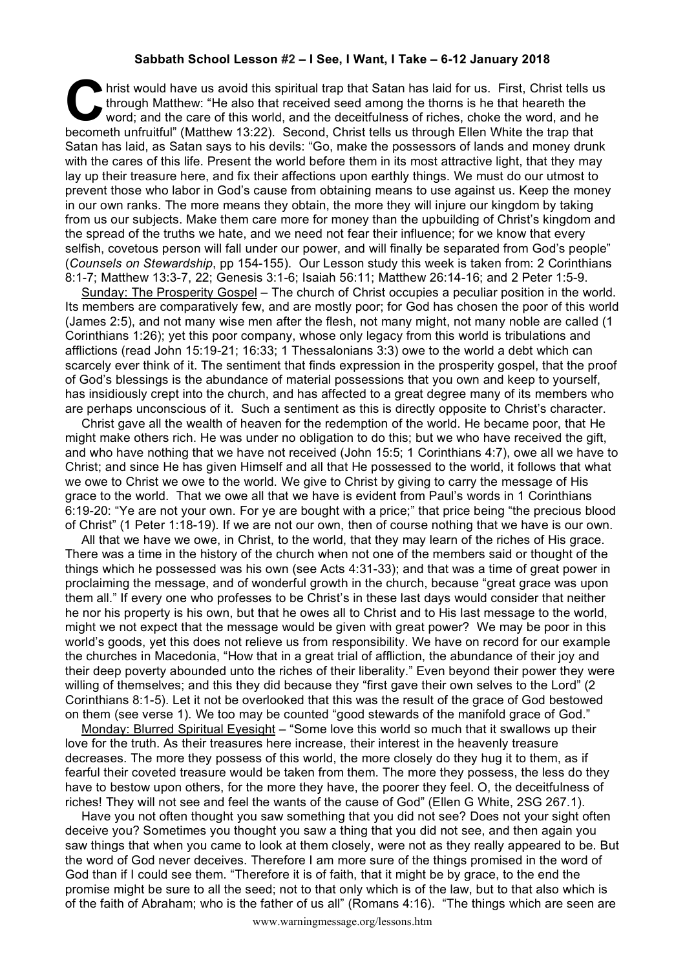## **Sabbath School Lesson #2 – I See, I Want, I Take – 6-12 January 2018**

hrist would have us avoid this spiritual trap that Satan has laid for us. First, Christ tells us through Matthew: "He also that received seed among the thorns is he that heareth the word; and the care of this world, and the deceitfulness of riches, choke the word, and he becometh unfruitful" (Matthew 13:22). Second, Christ tells us through Matthew: "He also that received seed among the thorns is he that heareth the word; and the care of this world, and the deceitfulness of riches, choke th Satan has laid, as Satan says to his devils: "Go, make the possessors of lands and money drunk with the cares of this life. Present the world before them in its most attractive light, that they may lay up their treasure here, and fix their affections upon earthly things. We must do our utmost to prevent those who labor in God's cause from obtaining means to use against us. Keep the money in our own ranks. The more means they obtain, the more they will injure our kingdom by taking from us our subjects. Make them care more for money than the upbuilding of Christ's kingdom and the spread of the truths we hate, and we need not fear their influence; for we know that every selfish, covetous person will fall under our power, and will finally be separated from God's people" (*Counsels on Stewardship*, pp 154-155). Our Lesson study this week is taken from: 2 Corinthians 8:1-7; Matthew 13:3-7, 22; Genesis 3:1-6; Isaiah 56:11; Matthew 26:14-16; and 2 Peter 1:5-9.

Sunday: The Prosperity Gospel – The church of Christ occupies a peculiar position in the world. Its members are comparatively few, and are mostly poor; for God has chosen the poor of this world (James 2:5), and not many wise men after the flesh, not many might, not many noble are called (1 Corinthians 1:26); yet this poor company, whose only legacy from this world is tribulations and afflictions (read John 15:19-21; 16:33; 1 Thessalonians 3:3) owe to the world a debt which can scarcely ever think of it. The sentiment that finds expression in the prosperity gospel, that the proof of God's blessings is the abundance of material possessions that you own and keep to yourself, has insidiously crept into the church, and has affected to a great degree many of its members who are perhaps unconscious of it. Such a sentiment as this is directly opposite to Christ's character.

Christ gave all the wealth of heaven for the redemption of the world. He became poor, that He might make others rich. He was under no obligation to do this; but we who have received the gift, and who have nothing that we have not received (John 15:5; 1 Corinthians 4:7), owe all we have to Christ; and since He has given Himself and all that He possessed to the world, it follows that what we owe to Christ we owe to the world. We give to Christ by giving to carry the message of His grace to the world. That we owe all that we have is evident from Paul's words in 1 Corinthians 6:19-20: "Ye are not your own. For ye are bought with a price;" that price being "the precious blood of Christ" (1 Peter 1:18-19). If we are not our own, then of course nothing that we have is our own.

All that we have we owe, in Christ, to the world, that they may learn of the riches of His grace. There was a time in the history of the church when not one of the members said or thought of the things which he possessed was his own (see Acts 4:31-33); and that was a time of great power in proclaiming the message, and of wonderful growth in the church, because "great grace was upon them all." If every one who professes to be Christ's in these last days would consider that neither he nor his property is his own, but that he owes all to Christ and to His last message to the world, might we not expect that the message would be given with great power? We may be poor in this world's goods, yet this does not relieve us from responsibility. We have on record for our example the churches in Macedonia, "How that in a great trial of affliction, the abundance of their joy and their deep poverty abounded unto the riches of their liberality." Even beyond their power they were willing of themselves; and this they did because they "first gave their own selves to the Lord" (2 Corinthians 8:1-5). Let it not be overlooked that this was the result of the grace of God bestowed on them (see verse 1). We too may be counted "good stewards of the manifold grace of God."

Monday: Blurred Spiritual Eyesight – "Some love this world so much that it swallows up their love for the truth. As their treasures here increase, their interest in the heavenly treasure decreases. The more they possess of this world, the more closely do they hug it to them, as if fearful their coveted treasure would be taken from them. The more they possess, the less do they have to bestow upon others, for the more they have, the poorer they feel. O, the deceitfulness of riches! They will not see and feel the wants of the cause of God" (Ellen G White, 2SG 267.1).

Have you not often thought you saw something that you did not see? Does not your sight often deceive you? Sometimes you thought you saw a thing that you did not see, and then again you saw things that when you came to look at them closely, were not as they really appeared to be. But the word of God never deceives. Therefore I am more sure of the things promised in the word of God than if I could see them. "Therefore it is of faith, that it might be by grace, to the end the promise might be sure to all the seed; not to that only which is of the law, but to that also which is of the faith of Abraham; who is the father of us all" (Romans 4:16). "The things which are seen are